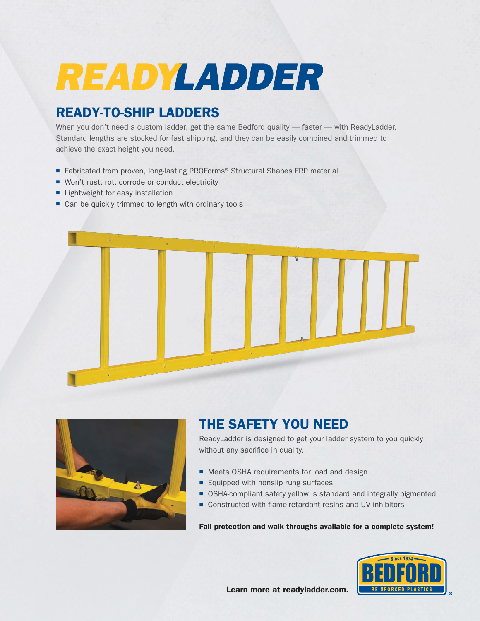# READYLADDER

## READY-TO-SHIP LADDERS

When you don't need a custom ladder, get the same Bedford quality - faster - with ReadyLadder. Standard lengths are stocked for fast shipping, and they can be easily combined and trimmed to achieve the exact height you need.

- Fabricated from proven, long-lasting PROForms® Structural Shapes FRP material
- Won't rust, rot, corrode or conduct electricity
- **E** Lightweight for easy installation
- Can be quickly trimmed to length with ordinary tools





## THE SAFETY YOU NEED

ReadyLadder is designed to get your ladder system to you quickly without any sacrifice in quality.

- Meets OSHA requirements for load and design
- **Equipped with nonslip rung surfaces**
- OSHA-compliant safety yellow is standard and integrally pigmented
- Constructed with flame-retardant resins and UV inhibitors

#### Fall protection and walk throughs available for a complete system!



Learn more at readyladder.com.